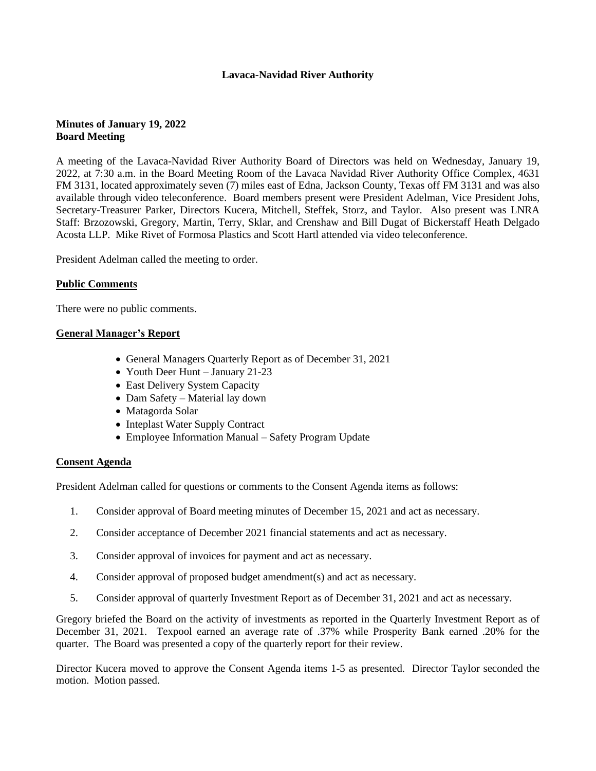# **Lavaca-Navidad River Authority**

# **Minutes of January 19, 2022 Board Meeting**

A meeting of the Lavaca-Navidad River Authority Board of Directors was held on Wednesday, January 19, 2022, at 7:30 a.m. in the Board Meeting Room of the Lavaca Navidad River Authority Office Complex, 4631 FM 3131, located approximately seven (7) miles east of Edna, Jackson County, Texas off FM 3131 and was also available through video teleconference. Board members present were President Adelman, Vice President Johs, Secretary-Treasurer Parker, Directors Kucera, Mitchell, Steffek, Storz, and Taylor. Also present was LNRA Staff: Brzozowski, Gregory, Martin, Terry, Sklar, and Crenshaw and Bill Dugat of Bickerstaff Heath Delgado Acosta LLP. Mike Rivet of Formosa Plastics and Scott Hartl attended via video teleconference.

President Adelman called the meeting to order.

### **Public Comments**

There were no public comments.

### **General Manager's Report**

- General Managers Quarterly Report as of December 31, 2021
- Youth Deer Hunt January 21-23
- East Delivery System Capacity
- Dam Safety Material lay down
- Matagorda Solar
- Inteplast Water Supply Contract
- Employee Information Manual Safety Program Update

### **Consent Agenda**

President Adelman called for questions or comments to the Consent Agenda items as follows:

- 1. Consider approval of Board meeting minutes of December 15, 2021 and act as necessary.
- 2. Consider acceptance of December 2021 financial statements and act as necessary.
- 3. Consider approval of invoices for payment and act as necessary.
- 4. Consider approval of proposed budget amendment(s) and act as necessary.
- 5. Consider approval of quarterly Investment Report as of December 31, 2021 and act as necessary.

Gregory briefed the Board on the activity of investments as reported in the Quarterly Investment Report as of December 31, 2021. Texpool earned an average rate of .37% while Prosperity Bank earned .20% for the quarter. The Board was presented a copy of the quarterly report for their review.

Director Kucera moved to approve the Consent Agenda items 1-5 as presented. Director Taylor seconded the motion. Motion passed.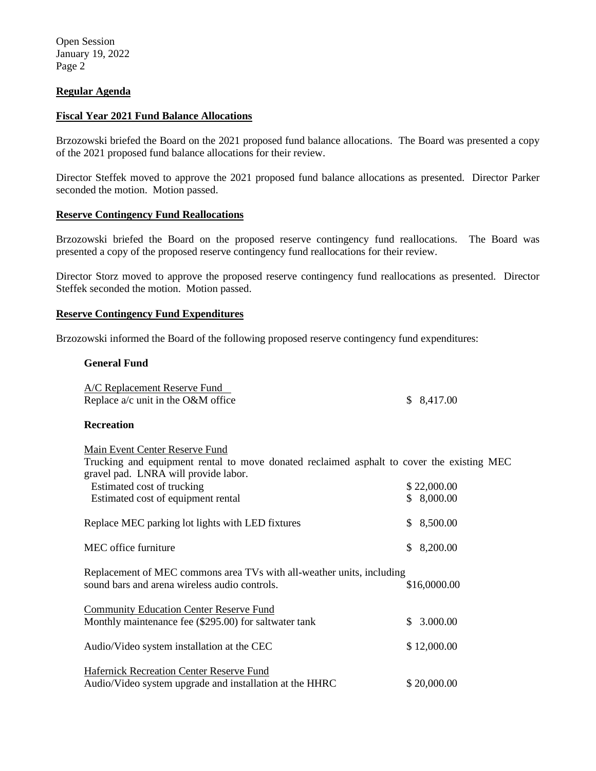Open Session January 19, 2022 Page 2

# **Regular Agenda**

### **Fiscal Year 2021 Fund Balance Allocations**

Brzozowski briefed the Board on the 2021 proposed fund balance allocations. The Board was presented a copy of the 2021 proposed fund balance allocations for their review.

Director Steffek moved to approve the 2021 proposed fund balance allocations as presented. Director Parker seconded the motion. Motion passed.

### **Reserve Contingency Fund Reallocations**

Brzozowski briefed the Board on the proposed reserve contingency fund reallocations. The Board was presented a copy of the proposed reserve contingency fund reallocations for their review.

Director Storz moved to approve the proposed reserve contingency fund reallocations as presented. Director Steffek seconded the motion. Motion passed.

### **Reserve Contingency Fund Expenditures**

Brzozowski informed the Board of the following proposed reserve contingency fund expenditures:

### **General Fund**

| A/C Replacement Reserve Fund         |            |  |
|--------------------------------------|------------|--|
| Replace $a/c$ unit in the O&M office | \$8,417.00 |  |

## **Recreation**

| Main Event Center Reserve Fund                                                            |  |              |  |  |
|-------------------------------------------------------------------------------------------|--|--------------|--|--|
| Trucking and equipment rental to move donated reclaimed asphalt to cover the existing MEC |  |              |  |  |
| gravel pad. LNRA will provide labor.                                                      |  |              |  |  |
| Estimated cost of trucking                                                                |  | \$ 22.000.00 |  |  |

| <b>E</b> Extendition Cool of the extent          | $V = V$    |
|--------------------------------------------------|------------|
| Estimated cost of equipment rental               | \$8,000.00 |
| Replace MEC parking lot lights with LED fixtures | \$8,500.00 |
| MEC office furniture                             | \$8,200.00 |

| Replacement of MEC commons area TVs with all-weather units, including |              |
|-----------------------------------------------------------------------|--------------|
| sound bars and arena wireless audio controls.                         | \$16,0000.00 |
|                                                                       |              |
| <b>Community Education Center Reserve Fund</b>                        |              |
| Monthly maintenance fee (\$295.00) for saltwater tank                 | \$3.000.00   |
| Audio/Video system installation at the CEC                            | \$12,000.00  |
|                                                                       |              |

Hafernick Recreation Center Reserve Fund Audio/Video system upgrade and installation at the HHRC \$20,000.00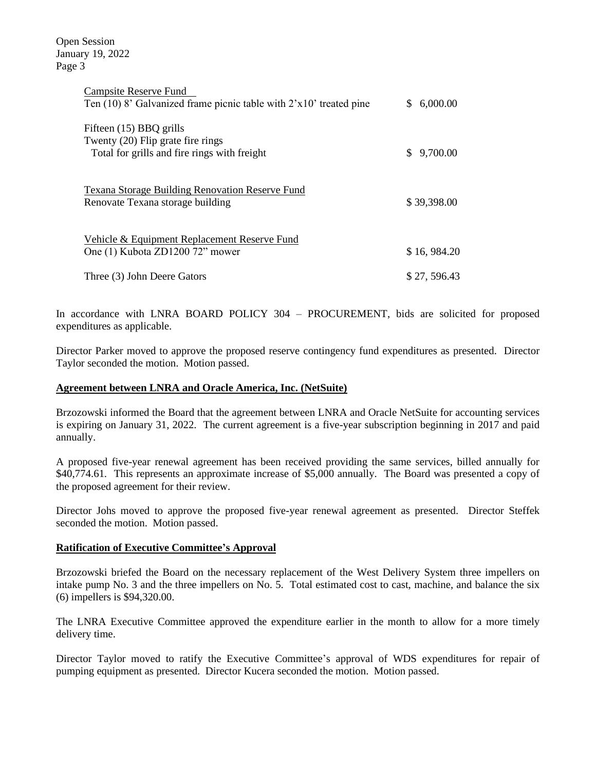Open Session January 19, 2022 Page 3

| <b>Campsite Reserve Fund</b><br>Ten $(10)$ 8' Galvanized frame picnic table with $2'x10'$ treated pine       | S.  | 6,000.00    |
|--------------------------------------------------------------------------------------------------------------|-----|-------------|
| Fifteen (15) BBQ grills<br>Twenty (20) Flip grate fire rings<br>Total for grills and fire rings with freight | \$. | 9,700.00    |
| <b>Texana Storage Building Renovation Reserve Fund</b><br>Renovate Texana storage building                   |     | \$39,398.00 |
| Vehicle & Equipment Replacement Reserve Fund<br>One (1) Kubota ZD1200 72" mower                              |     | \$16,984.20 |
| Three (3) John Deere Gators                                                                                  |     | \$27,596.43 |

In accordance with LNRA BOARD POLICY 304 – PROCUREMENT, bids are solicited for proposed expenditures as applicable.

Director Parker moved to approve the proposed reserve contingency fund expenditures as presented. Director Taylor seconded the motion. Motion passed.

### **Agreement between LNRA and Oracle America, Inc. (NetSuite)**

Brzozowski informed the Board that the agreement between LNRA and Oracle NetSuite for accounting services is expiring on January 31, 2022. The current agreement is a five-year subscription beginning in 2017 and paid annually.

A proposed five-year renewal agreement has been received providing the same services, billed annually for \$40,774.61. This represents an approximate increase of \$5,000 annually. The Board was presented a copy of the proposed agreement for their review.

Director Johs moved to approve the proposed five-year renewal agreement as presented. Director Steffek seconded the motion. Motion passed.

### **Ratification of Executive Committee's Approval**

Brzozowski briefed the Board on the necessary replacement of the West Delivery System three impellers on intake pump No. 3 and the three impellers on No. 5. Total estimated cost to cast, machine, and balance the six (6) impellers is \$94,320.00.

The LNRA Executive Committee approved the expenditure earlier in the month to allow for a more timely delivery time.

Director Taylor moved to ratify the Executive Committee's approval of WDS expenditures for repair of pumping equipment as presented. Director Kucera seconded the motion. Motion passed.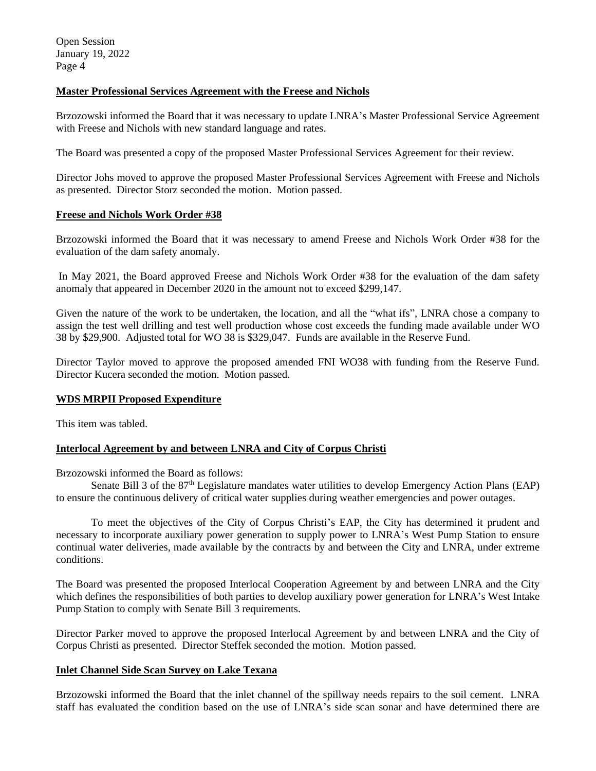# **Master Professional Services Agreement with the Freese and Nichols**

Brzozowski informed the Board that it was necessary to update LNRA's Master Professional Service Agreement with Freese and Nichols with new standard language and rates.

The Board was presented a copy of the proposed Master Professional Services Agreement for their review.

Director Johs moved to approve the proposed Master Professional Services Agreement with Freese and Nichols as presented. Director Storz seconded the motion. Motion passed.

### **Freese and Nichols Work Order #38**

Brzozowski informed the Board that it was necessary to amend Freese and Nichols Work Order #38 for the evaluation of the dam safety anomaly.

In May 2021, the Board approved Freese and Nichols Work Order #38 for the evaluation of the dam safety anomaly that appeared in December 2020 in the amount not to exceed \$299,147.

Given the nature of the work to be undertaken, the location, and all the "what ifs", LNRA chose a company to assign the test well drilling and test well production whose cost exceeds the funding made available under WO 38 by \$29,900. Adjusted total for WO 38 is \$329,047. Funds are available in the Reserve Fund.

Director Taylor moved to approve the proposed amended FNI WO38 with funding from the Reserve Fund. Director Kucera seconded the motion. Motion passed.

## **WDS MRPII Proposed Expenditure**

This item was tabled.

## **Interlocal Agreement by and between LNRA and City of Corpus Christi**

Brzozowski informed the Board as follows:

Senate Bill 3 of the 87<sup>th</sup> Legislature mandates water utilities to develop Emergency Action Plans (EAP) to ensure the continuous delivery of critical water supplies during weather emergencies and power outages.

To meet the objectives of the City of Corpus Christi's EAP, the City has determined it prudent and necessary to incorporate auxiliary power generation to supply power to LNRA's West Pump Station to ensure continual water deliveries, made available by the contracts by and between the City and LNRA, under extreme conditions.

The Board was presented the proposed Interlocal Cooperation Agreement by and between LNRA and the City which defines the responsibilities of both parties to develop auxiliary power generation for LNRA's West Intake Pump Station to comply with Senate Bill 3 requirements.

Director Parker moved to approve the proposed Interlocal Agreement by and between LNRA and the City of Corpus Christi as presented. Director Steffek seconded the motion. Motion passed.

### **Inlet Channel Side Scan Survey on Lake Texana**

Brzozowski informed the Board that the inlet channel of the spillway needs repairs to the soil cement. LNRA staff has evaluated the condition based on the use of LNRA's side scan sonar and have determined there are